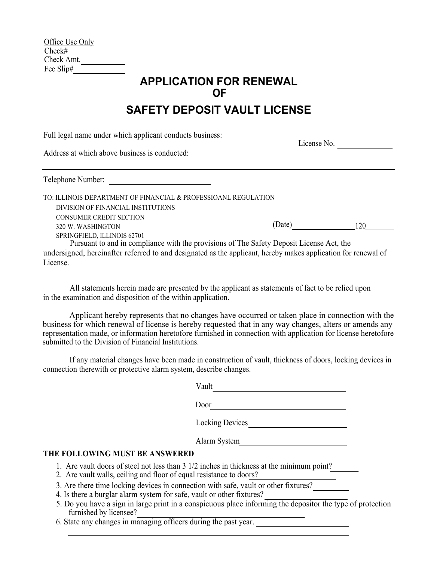| Office Use Only |  |
|-----------------|--|
| Check#          |  |
| Check Amt.      |  |
| Fee Slip#       |  |

## **APPLICATION FOR RENEWAL OF**

## **SAFETY DEPOSIT VAULT LICENSE**

Full legal name under which applicant conducts business:

License No.

Address at which above business is conducted:

Telephone Number:

(Date) 120 DIVISION OF FINANCIAL INSTITUTIONS CONSUMER CREDIT SECTION 320 W. WASHINGTON SPRINGFIELD, ILLINOIS 62701 Pursuant to and in compliance with the provisions of The Safety Deposit License Act, the TO: ILLINOIS DEPARTMENT OF FINANCIAL & PROFESSIOANL REGULATION

undersigned, hereinafter referred to and designated as the applicant, hereby makes application for renewal of License.

All statements herein made are presented by the applicant as statements of fact to be relied upon in the examination and disposition of the within application.

Applicant hereby represents that no changes have occurred or taken place in connection with the business for which renewal of license is hereby requested that in any way changes, alters or amends any representation made, or information heretofore furnished in connection with application for license heretofore submitted to the Division of Financial Institutions.

If any material changes have been made in construction of vault, thickness of doors, locking devices in connection therewith or protective alarm system, describe changes.

|    | Vault                  |
|----|------------------------|
|    | Door                   |
|    | <b>Locking Devices</b> |
|    | Alarm System           |
| RШ |                        |

## **THE FOLLOWING MUST BE ANSWERED**

- 1. Are vault doors of steel not less than 3 1/2 inches in thickness at the minimum point?
- 2. Are vault walls, ceiling and floor of equal resistance to doors?
- 3. Are there time locking devices in connection with safe, vault or other fixtures?
- 4. Is there a burglar alarm system for safe, vault or other fixtures?
- furnished by licensee? 5. Do you have a sign in large print in a conspicuous place informing the depositor the type of protection
- 6. State any changes in managing officers during the past year.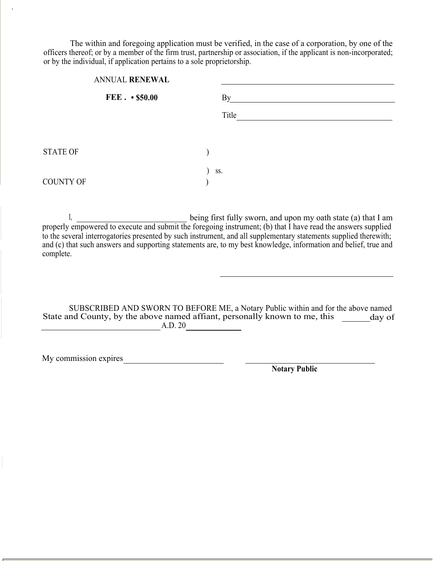The within and foregoing application must be verified, in the case of a corporation, by one of the officers thereof; or by a member of the firm trust, partnership or association, if the applicant is non-incorporated; or by the individual, if application pertains to a sole proprietorship.

| ANNUAL RENEWAL   |                        |       |  |  |
|------------------|------------------------|-------|--|--|
|                  | $FEE.$ $\cdot$ \$50.00 | By    |  |  |
|                  |                        | Title |  |  |
| <b>STATE OF</b>  |                        |       |  |  |
| <b>COUNTY OF</b> |                        | SS.   |  |  |

I, Let a being first fully sworn, and upon my oath state (a) that I am properly empowered to execute and submit the foregoing instrument; (b) that I have read the answers supplied to the several interrogatories presented by such instrument, and all supplementary statements supplied therewith; and (c) that such answers and supporting statements are, to my best knowledge, information and belief, true and complete.

State and County, by the above named affiant, personally known to me, this \_\_\_\_\_\_ day of A.D. 20 SUBSCRIBED AND SWORN TO BEFORE ME, a Notary Public within and for the above named

My commission expires

I

**Notary Public**